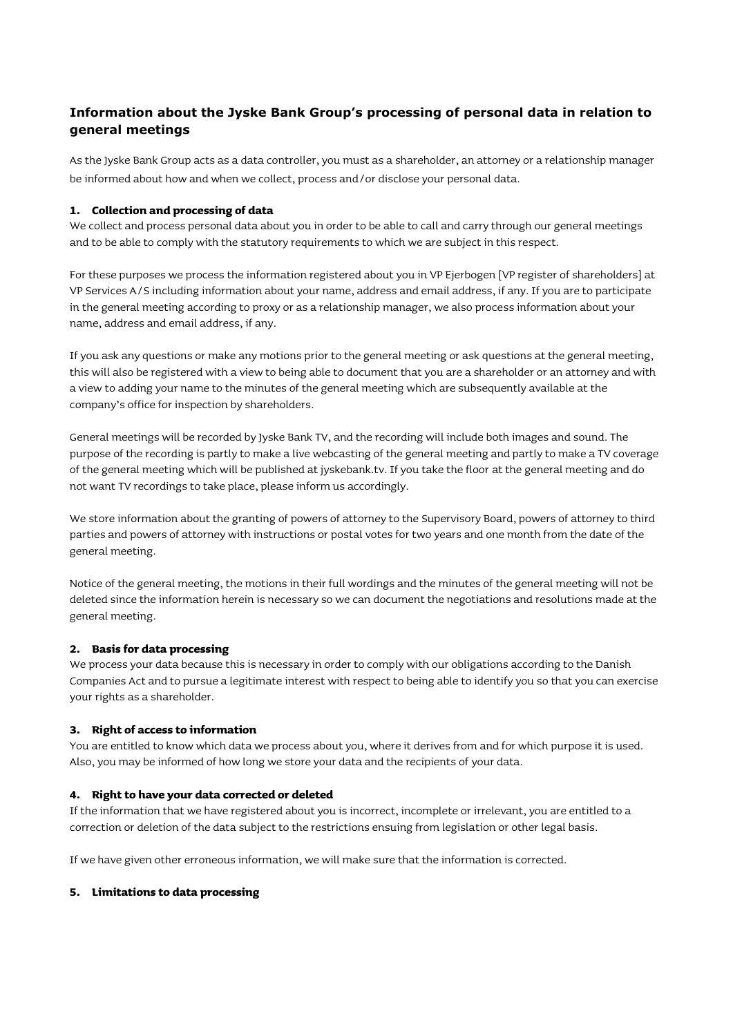# **Information about the Jyske Bank Group's processing of personal data in relation to general meetings**

As the Jyske Bank Group acts as a data controller, you must as a shareholder, an attorney or a relationship manager be informed about how and when we collect, process and/or disclose your personal data.

# **1. Collection and processing of data**

We collect and process personal data about you in order to be able to call and carry through our general meetings and to be able to comply with the statutory requirements to which we are subject in this respect.

For these purposes we process the information registered about you in VP Ejerbogen [VP register of shareholders] at VP Services A/S including information about your name, address and email address, if any. If you are to participate in the general meeting according to proxy or as a relationship manager, we also process information about your name, address and email address, if any.

If you ask any questions or make any motions prior to the general meeting or ask questions at the general meeting, this will also be registered with a view to being able to document that you are a shareholder or an attorney and with a view to adding your name to the minutes of the general meeting which are subsequently available at the company's office for inspection by shareholders.

General meetings will be recorded by Jyske Bank TV, and the recording will include both images and sound. The purpose of the recording is partly to make a live webcasting of the general meeting and partly to make a TV coverage of the general meeting which will be published at jyskebank.tv. If you take the floor at the general meeting and do not want TV recordings to take place, please inform us accordingly.

We store information about the granting of powers of attorney to the Supervisory Board, powers of attorney to third parties and powers of attorney with instructions or postal votes for two years and one month from the date of the general meeting.

Notice of the general meeting, the motions in their full wordings and the minutes of the general meeting will not be deleted since the information herein is necessary so we can document the negotiations and resolutions made at the general meeting.

### **2. Basis for data processing**

We process your data because this is necessary in order to comply with our obligations according to the Danish Companies Act and to pursue a legitimate interest with respect to being able to identify you so that you can exercise your rights as a shareholder.

### **3. Right of access to information**

You are entitled to know which data we process about you, where it derives from and for which purpose it is used. Also, you may be informed of how long we store your data and the recipients of your data.

### **4. Right to have your data corrected or deleted**

If the information that we have registered about you is incorrect, incomplete or irrelevant, you are entitled to a correction or deletion of the data subject to the restrictions ensuing from legislation or other legal basis.

If we have given other erroneous information, we will make sure that the information is corrected.

### **5. Limitations to data processing**